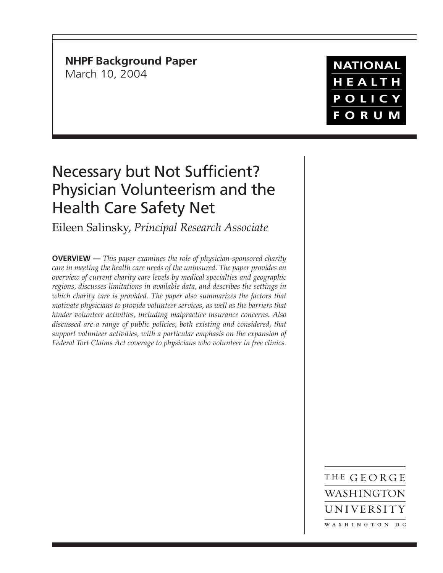**NHPF Background Paper** March 10, 2004

## **NATIONAL** HEALTH POLICY **FORUM**

## Necessary but Not Sufficient? Physician Volunteerism and the Health Care Safety Net

Eileen Salinsky, *Principal Research Associate*

**OVERVIEW —** *This paper examines the role of physician-sponsored charity care in meeting the health care needs of the uninsured. The paper provides an overview of current charity care levels by medical specialties and geographic regions, discusses limitations in available data, and describes the settings in which charity care is provided. The paper also summarizes the factors that motivate physicians to provide volunteer services, as well as the barriers that hinder volunteer activities, including malpractice insurance concerns. Also discussed are a range of public policies, both existing and considered, that support volunteer activities, with a particular emphasis on the expansion of Federal Tort Claims Act coverage to physicians who volunteer in free clinics.*

> THE GEORGE WASHINGTON UNIVERSITY WASHINGTON DC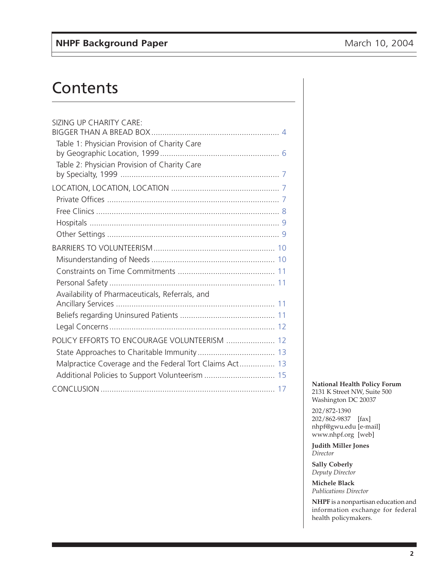# **Contents**

| SIZING UP CHARITY CARE:                                 |
|---------------------------------------------------------|
|                                                         |
| Table 1: Physician Provision of Charity Care            |
|                                                         |
| Table 2: Physician Provision of Charity Care            |
|                                                         |
|                                                         |
|                                                         |
|                                                         |
|                                                         |
|                                                         |
|                                                         |
|                                                         |
|                                                         |
| Availability of Pharmaceuticals, Referrals, and         |
|                                                         |
|                                                         |
|                                                         |
| POLICY EFFORTS TO ENCOURAGE VOLUNTEERISM  12            |
|                                                         |
| Malpractice Coverage and the Federal Tort Claims Act 13 |
| Additional Policies to Support Volunteerism  15         |
|                                                         |

#### **National Health Policy Forum** 2131 K Street NW, Suite 500 Washington DC 20037

202/872-1390 202/862-9837 [fax] nhpf@gwu.edu [e-mail] www.nhpf.org [web]

**Judith Miller Jones** *Director*

**Sally Coberly** *Deputy Director*

**Michele Black** *Publications Director*

**NHPF** is a nonpartisan education and information exchange for federal health policymakers.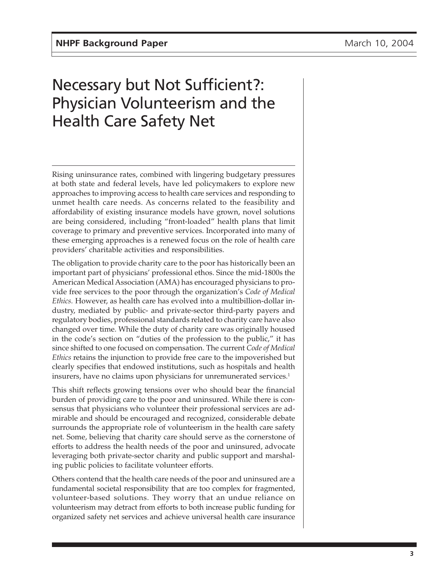## Necessary but Not Sufficient?: Physician Volunteerism and the Health Care Safety Net

Rising uninsurance rates, combined with lingering budgetary pressures at both state and federal levels, have led policymakers to explore new approaches to improving access to health care services and responding to unmet health care needs. As concerns related to the feasibility and affordability of existing insurance models have grown, novel solutions are being considered, including "front-loaded" health plans that limit coverage to primary and preventive services. Incorporated into many of these emerging approaches is a renewed focus on the role of health care providers' charitable activities and responsibilities.

The obligation to provide charity care to the poor has historically been an important part of physicians' professional ethos. Since the mid-1800s the American Medical Association (AMA) has encouraged physicians to provide free services to the poor through the organization's *Code of Medical Ethics.* However, as health care has evolved into a multibillion-dollar industry, mediated by public- and private-sector third-party payers and regulatory bodies, professional standards related to charity care have also changed over time. While the duty of charity care was originally housed in the code's section on "duties of the profession to the public," it has since shifted to one focused on compensation. The current *Code of Medical Ethics* retains the injunction to provide free care to the impoverished but clearly specifies that endowed institutions, such as hospitals and health insurers, have no claims upon physicians for unremunerated services.<sup>1</sup>

This shift reflects growing tensions over who should bear the financial burden of providing care to the poor and uninsured. While there is consensus that physicians who volunteer their professional services are admirable and should be encouraged and recognized, considerable debate surrounds the appropriate role of volunteerism in the health care safety net. Some, believing that charity care should serve as the cornerstone of efforts to address the health needs of the poor and uninsured, advocate leveraging both private-sector charity and public support and marshaling public policies to facilitate volunteer efforts.

Others contend that the health care needs of the poor and uninsured are a fundamental societal responsibility that are too complex for fragmented, volunteer-based solutions. They worry that an undue reliance on volunteerism may detract from efforts to both increase public funding for organized safety net services and achieve universal health care insurance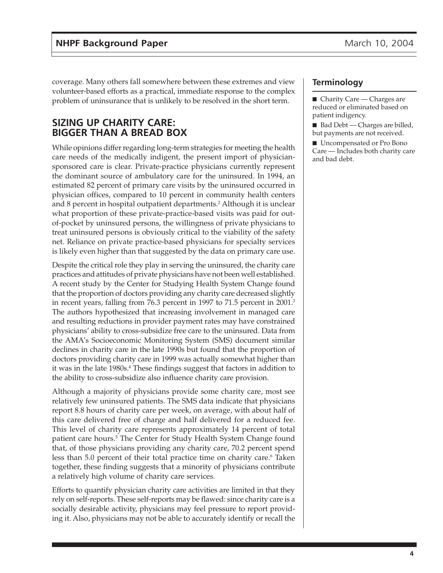<span id="page-3-0"></span>coverage. Many others fall somewhere between these extremes and view volunteer-based efforts as a practical, immediate response to the complex problem of uninsurance that is unlikely to be resolved in the short term.

## **SIZING UP CHARITY CARE: BIGGER THAN A BREAD BOX**

While opinions differ regarding long-term strategies for meeting the health care needs of the medically indigent, the present import of physiciansponsored care is clear. Private-practice physicians currently represent the dominant source of ambulatory care for the uninsured. In 1994, an estimated 82 percent of primary care visits by the uninsured occurred in physician offices, compared to 10 percent in community health centers and 8 percent in hospital outpatient departments.<sup>2</sup> Although it is unclear what proportion of these private-practice-based visits was paid for outof-pocket by uninsured persons, the willingness of private physicians to treat uninsured persons is obviously critical to the viability of the safety net. Reliance on private practice-based physicians for specialty services is likely even higher than that suggested by the data on primary care use.

Despite the critical role they play in serving the uninsured, the charity care practices and attitudes of private physicians have not been well established. A recent study by the Center for Studying Health System Change found that the proportion of doctors providing any charity care decreased slightly in recent years, falling from 76.3 percent in 1997 to 71.5 percent in 2001.3 The authors hypothesized that increasing involvement in managed care and resulting reductions in provider payment rates may have constrained physicians' ability to cross-subsidize free care to the uninsured. Data from the AMA's Socioeconomic Monitoring System (SMS) document similar declines in charity care in the late 1990s but found that the proportion of doctors providing charity care in 1999 was actually somewhat higher than it was in the late 1980s.<sup>4</sup> These findings suggest that factors in addition to the ability to cross-subsidize also influence charity care provision.

Although a majority of physicians provide some charity care, most see relatively few uninsured patients. The SMS data indicate that physicians report 8.8 hours of charity care per week, on average, with about half of this care delivered free of charge and half delivered for a reduced fee. This level of charity care represents approximately 14 percent of total patient care hours.<sup>5</sup> The Center for Study Health System Change found that, of those physicians providing any charity care, 70.2 percent spend less than 5.0 percent of their total practice time on charity care.<sup>6</sup> Taken together, these finding suggests that a minority of physicians contribute a relatively high volume of charity care services.

Efforts to quantify physician charity care activities are limited in that they rely on self-reports. These self-reports may be flawed: since charity care is a socially desirable activity, physicians may feel pressure to report providing it. Also, physicians may not be able to accurately identify or recall the

### **Terminology**

■ Charity Care — Charges are reduced or eliminated based on patient indigency.

■ Bad Debt — Charges are billed, but payments are not received.

■ Uncompensated or Pro Bono Care — Includes both charity care and bad debt.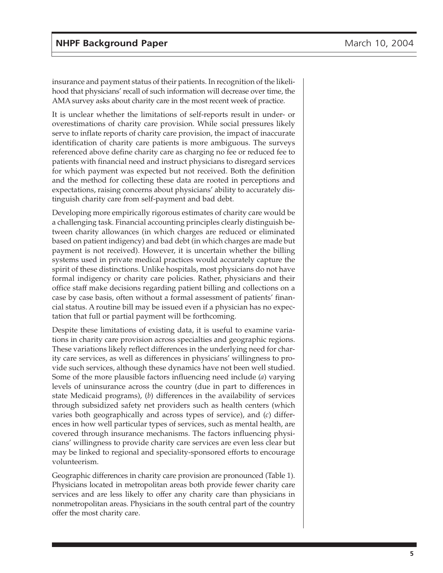insurance and payment status of their patients. In recognition of the likelihood that physicians' recall of such information will decrease over time, the AMA survey asks about charity care in the most recent week of practice.

It is unclear whether the limitations of self-reports result in under- or overestimations of charity care provision. While social pressures likely serve to inflate reports of charity care provision, the impact of inaccurate identification of charity care patients is more ambiguous. The surveys referenced above define charity care as charging no fee or reduced fee to patients with financial need and instruct physicians to disregard services for which payment was expected but not received. Both the definition and the method for collecting these data are rooted in perceptions and expectations, raising concerns about physicians' ability to accurately distinguish charity care from self-payment and bad debt.

Developing more empirically rigorous estimates of charity care would be a challenging task. Financial accounting principles clearly distinguish between charity allowances (in which charges are reduced or eliminated based on patient indigency) and bad debt (in which charges are made but payment is not received). However, it is uncertain whether the billing systems used in private medical practices would accurately capture the spirit of these distinctions. Unlike hospitals, most physicians do not have formal indigency or charity care policies. Rather, physicians and their office staff make decisions regarding patient billing and collections on a case by case basis, often without a formal assessment of patients' financial status. A routine bill may be issued even if a physician has no expectation that full or partial payment will be forthcoming.

Despite these limitations of existing data, it is useful to examine variations in charity care provision across specialties and geographic regions. These variations likely reflect differences in the underlying need for charity care services, as well as differences in physicians' willingness to provide such services, although these dynamics have not been well studied. Some of the more plausible factors influencing need include (*a*) varying levels of uninsurance across the country (due in part to differences in state Medicaid programs), (*b*) differences in the availability of services through subsidized safety net providers such as health centers (which varies both geographically and across types of service), and (*c*) differences in how well particular types of services, such as mental health, are covered through insurance mechanisms. The factors influencing physicians' willingness to provide charity care services are even less clear but may be linked to regional and speciality-sponsored efforts to encourage volunteerism.

Geographic differences in charity care provision are pronounced (Table 1). Physicians located in metropolitan areas both provide fewer charity care services and are less likely to offer any charity care than physicians in nonmetropolitan areas. Physicians in the south central part of the country offer the most charity care.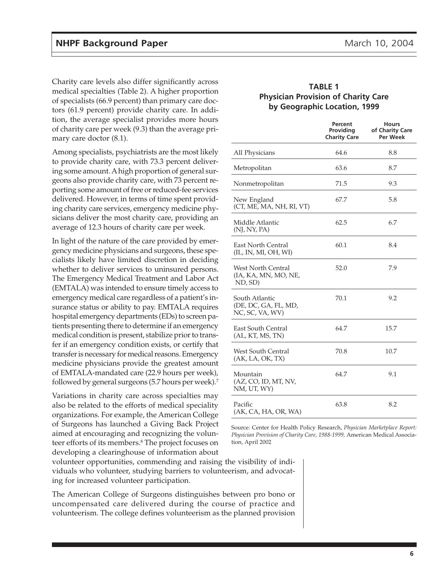<span id="page-5-0"></span>Charity care levels also differ significantly across medical specialties (Table 2). A higher proportion of specialists (66.9 percent) than primary care doctors (61.9 percent) provide charity care. In addition, the average specialist provides more hours of charity care per week (9.3) than the average primary care doctor (8.1).

Among specialists, psychiatrists are the most likely to provide charity care, with 73.3 percent delivering some amount. A high proportion of general surgeons also provide charity care, with 73 percent reporting some amount of free or reduced-fee services delivered. However, in terms of time spent providing charity care services, emergency medicine physicians deliver the most charity care, providing an average of 12.3 hours of charity care per week.

In light of the nature of the care provided by emergency medicine physicians and surgeons, these specialists likely have limited discretion in deciding whether to deliver services to uninsured persons. The Emergency Medical Treatment and Labor Act (EMTALA) was intended to ensure timely access to emergency medical care regardless of a patient's insurance status or ability to pay. EMTALA requires hospital emergency departments (EDs) to screen patients presenting there to determine if an emergency medical condition is present, stabilize prior to transfer if an emergency condition exists, or certify that transfer is necessary for medical reasons. Emergency medicine physicians provide the greatest amount of EMTALA-mandated care (22.9 hours per week), followed by general surgeons (5.7 hours per week).7

Variations in charity care across specialties may also be related to the efforts of medical speciality organizations. For example, the American College of Surgeons has launched a Giving Back Project aimed at encouraging and recognizing the volunteer efforts of its members.8 The project focuses on developing a clearinghouse of information about

#### **TABLE 1 Physician Provision of Charity Care by Geographic Location, 1999**

|                                                              | Percent<br>Providing<br><b>Charity Care</b> | <b>Hours</b><br>of Charity Care<br>Per Week |
|--------------------------------------------------------------|---------------------------------------------|---------------------------------------------|
| All Physicians                                               | 64.6                                        | 8.8                                         |
| Metropolitan                                                 | 63.6                                        | 8.7                                         |
| Nonmetropolitan                                              | 71.5                                        | 9.3                                         |
| New England<br>(CT, ME, MA, NH, RI, VT)                      | 67.7                                        | 5.8                                         |
| Middle Atlantic<br>(NJ, NY, PA)                              | 62.5                                        | 6.7                                         |
| <b>East North Central</b><br>(IL, IN, MI, OH, WI)            | 60.1                                        | 8.4                                         |
| <b>West North Central</b><br>(IA, KA, MN, MO, NE,<br>ND, SD) | 52.0                                        | 7.9                                         |
| South Atlantic<br>(DE, DC, GA, FL, MD,<br>NC, SC, VA, WV)    | 70.1                                        | 9.2                                         |
| <b>East South Central</b><br>(AL, KT, MS, TN)                | 64.7                                        | 15.7                                        |
| <b>West South Central</b><br>(AK, LA, OK, TX)                | 70.8                                        | 10.7                                        |
| Mountain<br>(AZ, CO, ID, MT, NV,<br>NM, UT, WY)              | 64.7                                        | 9.1                                         |
| Pacific<br>(AK, CA, HA, OR, WA)                              | 63.8                                        | 8.2                                         |

Source: Center for Health Policy Research, *Physician Marketplace Report: Physician Provision of Charity Care, 1988-1999,* American Medical Association, April 2002

volunteer opportunities, commending and raising the visibility of individuals who volunteer, studying barriers to volunteerism, and advocating for increased volunteer participation.

The American College of Surgeons distinguishes between pro bono or uncompensated care delivered during the course of practice and volunteerism. The college defines volunteerism as the planned provision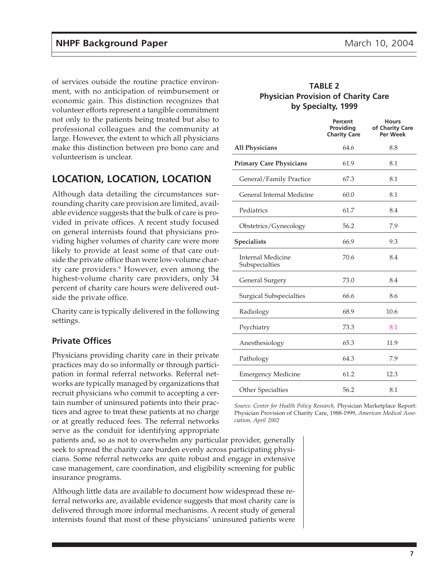<span id="page-6-0"></span>of services outside the routine practice environment, with no anticipation of reimbursement or economic gain. This distinction recognizes that volunteer efforts represent a tangible commitment not only to the patients being treated but also to professional colleagues and the community at large. However, the extent to which all physicians make this distinction between pro bono care and volunteerism is unclear.

## **LOCATION, LOCATION, LOCATION**

Although data detailing the circumstances surrounding charity care provision are limited, available evidence suggests that the bulk of care is provided in private offices. A recent study focused on general internists found that physicians providing higher volumes of charity care were more likely to provide at least some of that care outside the private office than were low-volume charity care providers.<sup>9</sup> However, even among the highest-volume charity care providers, only 34 percent of charity care hours were delivered outside the private office.

Charity care is typically delivered in the following settings.

### **Private Offices**

Physicians providing charity care in their private practices may do so informally or through participation in formal referral networks. Referral networks are typically managed by organizations that recruit physicians who commit to accepting a certain number of uninsured patients into their practices and agree to treat these patients at no charge or at greatly reduced fees. The referral networks serve as the conduit for identifying appropriate

patients and, so as not to overwhelm any particular provider, generally seek to spread the charity care burden evenly across participating physicians. Some referral networks are quite robust and engage in extensive case management, care coordination, and eligibility screening for public insurance programs.

Although little data are available to document how widespread these referral networks are, available evidence suggests that most charity care is delivered through more informal mechanisms. A recent study of general internists found that most of these physicians' uninsured patients were

#### **TABLE 2 Physician Provision of Charity Care by Specialty, 1999**

|                                            | Percent<br>Providing<br><b>Charity Care</b> | <b>Hours</b><br>of Charity Care<br><b>Per Week</b> |
|--------------------------------------------|---------------------------------------------|----------------------------------------------------|
| <b>All Physicians</b>                      | 64.6                                        | 8.8                                                |
| <b>Primary Care Physicians</b>             | 61.9                                        | 8.1                                                |
| General/Family Practice                    | 67.3                                        | 8.1                                                |
| General Internal Medicine                  | 60.0                                        | 8.1                                                |
| Pediatrics                                 | 61.7                                        | 8.4                                                |
| Obstetrics/Gynecology                      | 56.2                                        | 7.9                                                |
| <b>Specialists</b>                         | 66.9                                        | 9.3                                                |
| <b>Internal Medicine</b><br>Subspecialties | 70.6                                        | 8.4                                                |
| General Surgery                            | 73.0                                        | 8.4                                                |
| <b>Surgical Subspecialties</b>             | 66.6                                        | 8.6                                                |
| Radiology                                  | 68.9                                        | 10.6                                               |
| Psychiatry                                 | 73.3                                        | 8.1                                                |
| Anesthesiology                             | 65.3                                        | 11.9                                               |
| Pathology                                  | 64.3                                        | 7.9                                                |
| <b>Emergency Medicine</b>                  | 61.2                                        | 12.3                                               |
| Other Specialties                          | 56.2                                        | 8.1                                                |

*Source: Center for Health Policy Research,* Physician Marketplace Report: Physician Provision of Charity Care, 1988-1999, *American Medical Association, April 2002*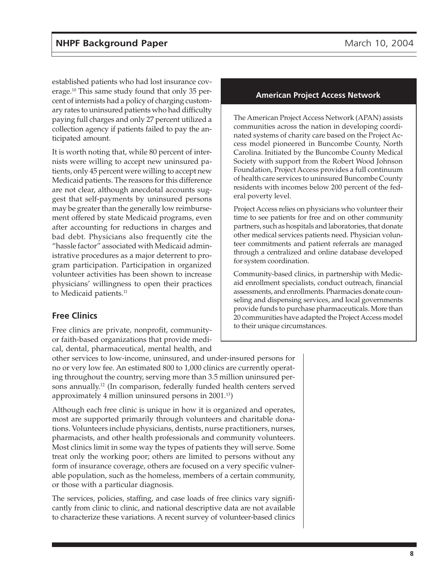<span id="page-7-0"></span>established patients who had lost insurance coverage.10 This same study found that only 35 percent of internists had a policy of charging customary rates to uninsured patients who had difficulty paying full charges and only 27 percent utilized a collection agency if patients failed to pay the anticipated amount.

It is worth noting that, while 80 percent of internists were willing to accept new uninsured patients, only 45 percent were willing to accept new Medicaid patients. The reasons for this difference are not clear, although anecdotal accounts suggest that self-payments by uninsured persons may be greater than the generally low reimbursement offered by state Medicaid programs, even after accounting for reductions in charges and bad debt. Physicians also frequently cite the "hassle factor" associated with Medicaid administrative procedures as a major deterrent to program participation. Participation in organized volunteer activities has been shown to increase physicians' willingness to open their practices to Medicaid patients.<sup>11</sup>

## **Free Clinics**

Free clinics are private, nonprofit, communityor faith-based organizations that provide medical, dental, pharmaceutical, mental health, and

other services to low-income, uninsured, and under-insured persons for no or very low fee. An estimated 800 to 1,000 clinics are currently operating throughout the country, serving more than 3.5 million uninsured persons annually.12 (In comparison, federally funded health centers served approximately 4 million uninsured persons in 2001.13)

Although each free clinic is unique in how it is organized and operates, most are supported primarily through volunteers and charitable donations. Volunteers include physicians, dentists, nurse practitioners, nurses, pharmacists, and other health professionals and community volunteers. Most clinics limit in some way the types of patients they will serve. Some treat only the working poor; others are limited to persons without any form of insurance coverage, others are focused on a very specific vulnerable population, such as the homeless, members of a certain community, or those with a particular diagnosis.

The services, policies, staffing, and case loads of free clinics vary significantly from clinic to clinic, and national descriptive data are not available to characterize these variations. A recent survey of volunteer-based clinics

#### **American Project Access Network**

The American Project Access Network (APAN) assists communities across the nation in developing coordinated systems of charity care based on the Project Access model pioneered in Buncombe County, North Carolina. Initiated by the Buncombe County Medical Society with support from the Robert Wood Johnson Foundation, Project Access provides a full continuum of health care services to uninsured Buncombe County residents with incomes below 200 percent of the federal poverty level.

Project Access relies on physicians who volunteer their time to see patients for free and on other community partners, such as hospitals and laboratories, that donate other medical services patients need. Physician volunteer commitments and patient referrals are managed through a centralized and online database developed for system coordination.

Community-based clinics, in partnership with Medicaid enrollment specialists, conduct outreach, financial assessments, and enrollments. Pharmacies donate counseling and dispensing services, and local governments provide funds to purchase pharmaceuticals. More than 20 communities have adapted the Project Access model to their unique circumstances.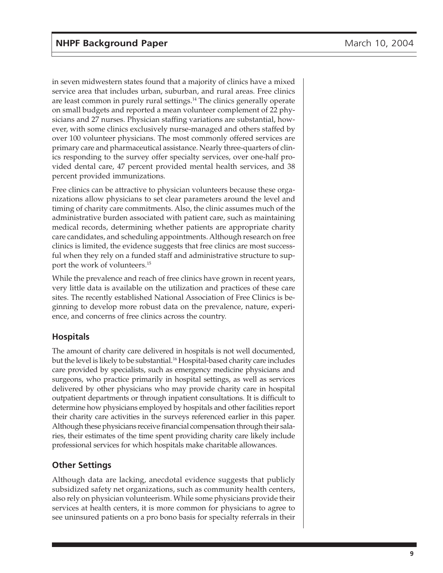<span id="page-8-0"></span>in seven midwestern states found that a majority of clinics have a mixed service area that includes urban, suburban, and rural areas. Free clinics are least common in purely rural settings.<sup>14</sup> The clinics generally operate on small budgets and reported a mean volunteer complement of 22 physicians and 27 nurses. Physician staffing variations are substantial, however, with some clinics exclusively nurse-managed and others staffed by over 100 volunteer physicians. The most commonly offered services are primary care and pharmaceutical assistance. Nearly three-quarters of clinics responding to the survey offer specialty services, over one-half provided dental care, 47 percent provided mental health services, and 38 percent provided immunizations.

Free clinics can be attractive to physician volunteers because these organizations allow physicians to set clear parameters around the level and timing of charity care commitments. Also, the clinic assumes much of the administrative burden associated with patient care, such as maintaining medical records, determining whether patients are appropriate charity care candidates, and scheduling appointments. Although research on free clinics is limited, the evidence suggests that free clinics are most successful when they rely on a funded staff and administrative structure to support the work of volunteers.15

While the prevalence and reach of free clinics have grown in recent years, very little data is available on the utilization and practices of these care sites. The recently established National Association of Free Clinics is beginning to develop more robust data on the prevalence, nature, experience, and concerns of free clinics across the country.

## **Hospitals**

The amount of charity care delivered in hospitals is not well documented, but the level is likely to be substantial.<sup>16</sup> Hospital-based charity care includes care provided by specialists, such as emergency medicine physicians and surgeons, who practice primarily in hospital settings, as well as services delivered by other physicians who may provide charity care in hospital outpatient departments or through inpatient consultations. It is difficult to determine how physicians employed by hospitals and other facilities report their charity care activities in the surveys referenced earlier in this paper. Although these physicians receive financial compensation through their salaries, their estimates of the time spent providing charity care likely include professional services for which hospitals make charitable allowances.

### **Other Settings**

Although data are lacking, anecdotal evidence suggests that publicly subsidized safety net organizations, such as community health centers, also rely on physician volunteerism. While some physicians provide their services at health centers, it is more common for physicians to agree to see uninsured patients on a pro bono basis for specialty referrals in their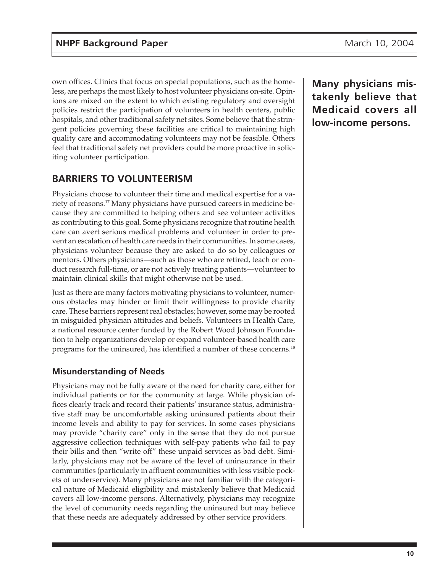<span id="page-9-0"></span>own offices. Clinics that focus on special populations, such as the homeless, are perhaps the most likely to host volunteer physicians on-site. Opinions are mixed on the extent to which existing regulatory and oversight policies restrict the participation of volunteers in health centers, public hospitals, and other traditional safety net sites. Some believe that the stringent policies governing these facilities are critical to maintaining high quality care and accommodating volunteers may not be feasible. Others feel that traditional safety net providers could be more proactive in soliciting volunteer participation.

## **BARRIERS TO VOLUNTEERISM**

Physicians choose to volunteer their time and medical expertise for a variety of reasons.17 Many physicians have pursued careers in medicine because they are committed to helping others and see volunteer activities as contributing to this goal. Some physicians recognize that routine health care can avert serious medical problems and volunteer in order to prevent an escalation of health care needs in their communities. In some cases, physicians volunteer because they are asked to do so by colleagues or mentors. Others physicians—such as those who are retired, teach or conduct research full-time, or are not actively treating patients—volunteer to maintain clinical skills that might otherwise not be used.

Just as there are many factors motivating physicians to volunteer, numerous obstacles may hinder or limit their willingness to provide charity care. These barriers represent real obstacles; however, some may be rooted in misguided physician attitudes and beliefs. Volunteers in Health Care, a national resource center funded by the Robert Wood Johnson Foundation to help organizations develop or expand volunteer-based health care programs for the uninsured, has identified a number of these concerns.18

## **Misunderstanding of Needs**

Physicians may not be fully aware of the need for charity care, either for individual patients or for the community at large. While physician offices clearly track and record their patients' insurance status, administrative staff may be uncomfortable asking uninsured patients about their income levels and ability to pay for services. In some cases physicians may provide "charity care" only in the sense that they do not pursue aggressive collection techniques with self-pay patients who fail to pay their bills and then "write off" these unpaid services as bad debt. Similarly, physicians may not be aware of the level of uninsurance in their communities (particularly in affluent communities with less visible pockets of underservice). Many physicians are not familiar with the categorical nature of Medicaid eligibility and mistakenly believe that Medicaid covers all low-income persons. Alternatively, physicians may recognize the level of community needs regarding the uninsured but may believe that these needs are adequately addressed by other service providers.

**Many physicians mistakenly believe that Medicaid covers all low-income persons.**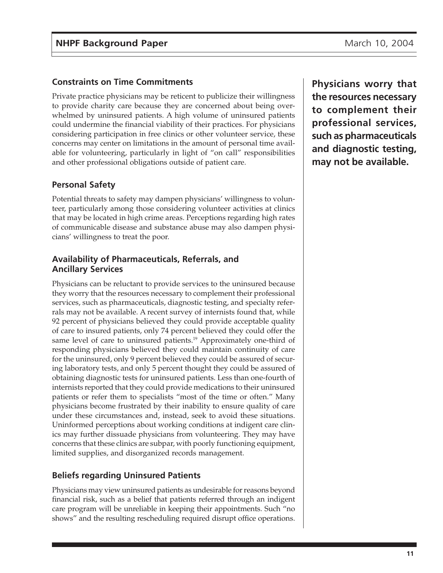## <span id="page-10-0"></span>**Constraints on Time Commitments**

Private practice physicians may be reticent to publicize their willingness to provide charity care because they are concerned about being overwhelmed by uninsured patients. A high volume of uninsured patients could undermine the financial viability of their practices. For physicians considering participation in free clinics or other volunteer service, these concerns may center on limitations in the amount of personal time available for volunteering, particularly in light of "on call" responsibilities and other professional obligations outside of patient care.

## **Personal Safety**

Potential threats to safety may dampen physicians' willingness to volunteer, particularly among those considering volunteer activities at clinics that may be located in high crime areas. Perceptions regarding high rates of communicable disease and substance abuse may also dampen physicians' willingness to treat the poor.

## **Availability of Pharmaceuticals, Referrals, and Ancillary Services**

Physicians can be reluctant to provide services to the uninsured because they worry that the resources necessary to complement their professional services, such as pharmaceuticals, diagnostic testing, and specialty referrals may not be available. A recent survey of internists found that, while 92 percent of physicians believed they could provide acceptable quality of care to insured patients, only 74 percent believed they could offer the same level of care to uninsured patients.<sup>19</sup> Approximately one-third of responding physicians believed they could maintain continuity of care for the uninsured, only 9 percent believed they could be assured of securing laboratory tests, and only 5 percent thought they could be assured of obtaining diagnostic tests for uninsured patients. Less than one-fourth of internists reported that they could provide medications to their uninsured patients or refer them to specialists "most of the time or often." Many physicians become frustrated by their inability to ensure quality of care under these circumstances and, instead, seek to avoid these situations. Uninformed perceptions about working conditions at indigent care clinics may further dissuade physicians from volunteering. They may have concerns that these clinics are subpar, with poorly functioning equipment, limited supplies, and disorganized records management.

## **Beliefs regarding Uninsured Patients**

Physicians may view uninsured patients as undesirable for reasons beyond financial risk, such as a belief that patients referred through an indigent care program will be unreliable in keeping their appointments. Such "no shows" and the resulting rescheduling required disrupt office operations.

**Physicians worry that the resources necessary to complement their professional services, such as pharmaceuticals and diagnostic testing, may not be available.**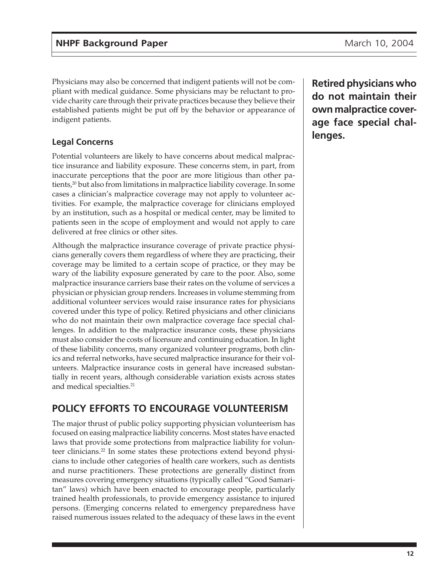<span id="page-11-0"></span>Physicians may also be concerned that indigent patients will not be compliant with medical guidance. Some physicians may be reluctant to provide charity care through their private practices because they believe their established patients might be put off by the behavior or appearance of indigent patients.

## **Legal Concerns**

Potential volunteers are likely to have concerns about medical malpractice insurance and liability exposure. These concerns stem, in part, from inaccurate perceptions that the poor are more litigious than other patients,<sup>20</sup> but also from limitations in malpractice liability coverage. In some cases a clinician's malpractice coverage may not apply to volunteer activities. For example, the malpractice coverage for clinicians employed by an institution, such as a hospital or medical center, may be limited to patients seen in the scope of employment and would not apply to care delivered at free clinics or other sites.

Although the malpractice insurance coverage of private practice physicians generally covers them regardless of where they are practicing, their coverage may be limited to a certain scope of practice, or they may be wary of the liability exposure generated by care to the poor. Also, some malpractice insurance carriers base their rates on the volume of services a physician or physician group renders. Increases in volume stemming from additional volunteer services would raise insurance rates for physicians covered under this type of policy. Retired physicians and other clinicians who do not maintain their own malpractice coverage face special challenges. In addition to the malpractice insurance costs, these physicians must also consider the costs of licensure and continuing education. In light of these liability concerns, many organized volunteer programs, both clinics and referral networks, have secured malpractice insurance for their volunteers. Malpractice insurance costs in general have increased substantially in recent years, although considerable variation exists across states and medical specialties.21

## **POLICY EFFORTS TO ENCOURAGE VOLUNTEERISM**

The major thrust of public policy supporting physician volunteerism has focused on easing malpractice liability concerns. Most states have enacted laws that provide some protections from malpractice liability for volunteer clinicians.<sup>22</sup> In some states these protections extend beyond physicians to include other categories of health care workers, such as dentists and nurse practitioners. These protections are generally distinct from measures covering emergency situations (typically called "Good Samaritan" laws) which have been enacted to encourage people, particularly trained health professionals, to provide emergency assistance to injured persons. (Emerging concerns related to emergency preparedness have raised numerous issues related to the adequacy of these laws in the event **Retired physicians who do not maintain their own malpractice coverage face special challenges.**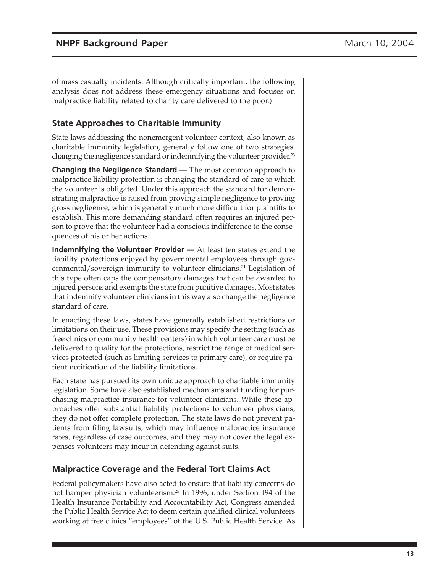<span id="page-12-0"></span>of mass casualty incidents. Although critically important, the following analysis does not address these emergency situations and focuses on malpractice liability related to charity care delivered to the poor.)

## **State Approaches to Charitable Immunity**

State laws addressing the nonemergent volunteer context, also known as charitable immunity legislation, generally follow one of two strategies: changing the negligence standard or indemnifying the volunteer provider.<sup>23</sup>

**Changing the Negligence Standard —** The most common approach to malpractice liability protection is changing the standard of care to which the volunteer is obligated. Under this approach the standard for demonstrating malpractice is raised from proving simple negligence to proving gross negligence, which is generally much more difficult for plaintiffs to establish. This more demanding standard often requires an injured person to prove that the volunteer had a conscious indifference to the consequences of his or her actions.

**Indemnifying the Volunteer Provider —** At least ten states extend the liability protections enjoyed by governmental employees through governmental/sovereign immunity to volunteer clinicians.<sup>24</sup> Legislation of this type often caps the compensatory damages that can be awarded to injured persons and exempts the state from punitive damages. Most states that indemnify volunteer clinicians in this way also change the negligence standard of care.

In enacting these laws, states have generally established restrictions or limitations on their use. These provisions may specify the setting (such as free clinics or community health centers) in which volunteer care must be delivered to qualify for the protections, restrict the range of medical services protected (such as limiting services to primary care), or require patient notification of the liability limitations.

Each state has pursued its own unique approach to charitable immunity legislation. Some have also established mechanisms and funding for purchasing malpractice insurance for volunteer clinicians. While these approaches offer substantial liability protections to volunteer physicians, they do not offer complete protection. The state laws do not prevent patients from filing lawsuits, which may influence malpractice insurance rates, regardless of case outcomes, and they may not cover the legal expenses volunteers may incur in defending against suits.

### **Malpractice Coverage and the Federal Tort Claims Act**

Federal policymakers have also acted to ensure that liability concerns do not hamper physician volunteerism.25 In 1996, under Section 194 of the Health Insurance Portability and Accountability Act, Congress amended the Public Health Service Act to deem certain qualified clinical volunteers working at free clinics "employees" of the U.S. Public Health Service. As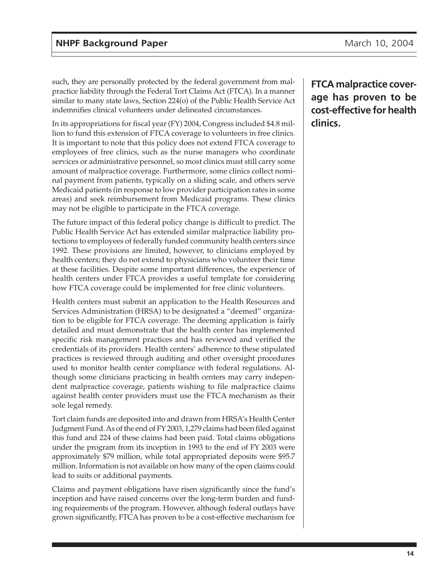such, they are personally protected by the federal government from malpractice liability through the Federal Tort Claims Act (FTCA). In a manner similar to many state laws, Section 224(o) of the Public Health Service Act indemnifies clinical volunteers under delineated circumstances.

In its appropriations for fiscal year (FY) 2004, Congress included \$4.8 million to fund this extension of FTCA coverage to volunteers in free clinics. It is important to note that this policy does not extend FTCA coverage to employees of free clinics, such as the nurse managers who coordinate services or administrative personnel, so most clinics must still carry some amount of malpractice coverage. Furthermore, some clinics collect nominal payment from patients, typically on a sliding scale, and others serve Medicaid patients (in response to low provider participation rates in some areas) and seek reimbursement from Medicaid programs. These clinics may not be eligible to participate in the FTCA coverage.

The future impact of this federal policy change is difficult to predict. The Public Health Service Act has extended similar malpractice liability protections to employees of federally funded community health centers since 1992. These provisions are limited, however, to clinicians employed by health centers; they do not extend to physicians who volunteer their time at these facilities. Despite some important differences, the experience of health centers under FTCA provides a useful template for considering how FTCA coverage could be implemented for free clinic volunteers.

Health centers must submit an application to the Health Resources and Services Administration (HRSA) to be designated a "deemed" organization to be eligible for FTCA coverage. The deeming application is fairly detailed and must demonstrate that the health center has implemented specific risk management practices and has reviewed and verified the credentials of its providers. Health centers' adherence to these stipulated practices is reviewed through auditing and other oversight procedures used to monitor health center compliance with federal regulations. Although some clinicians practicing in health centers may carry independent malpractice coverage, patients wishing to file malpractice claims against health center providers must use the FTCA mechanism as their sole legal remedy.

Tort claim funds are deposited into and drawn from HRSA's Health Center Judgment Fund. As of the end of FY 2003, 1,279 claims had been filed against this fund and 224 of these claims had been paid. Total claims obligations under the program from its inception in 1993 to the end of FY 2003 were approximately \$79 million, while total appropriated deposits were \$95.7 million. Information is not available on how many of the open claims could lead to suits or additional payments.

Claims and payment obligations have risen significantly since the fund's inception and have raised concerns over the long-term burden and funding requirements of the program. However, although federal outlays have grown significantly, FTCA has proven to be a cost-effective mechanism for

**FTCA malpractice coverage has proven to be cost-effective for health clinics.**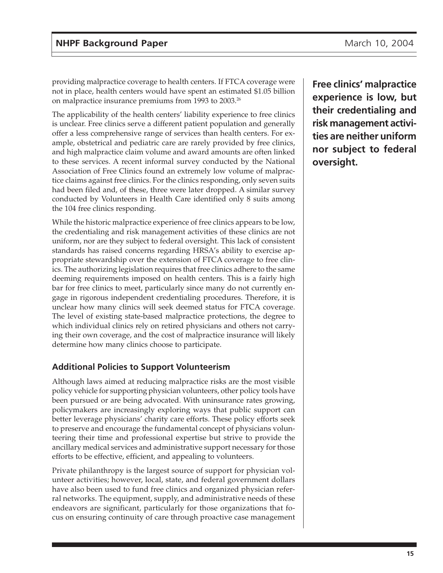<span id="page-14-0"></span>providing malpractice coverage to health centers. If FTCA coverage were not in place, health centers would have spent an estimated \$1.05 billion on malpractice insurance premiums from 1993 to 2003.26

The applicability of the health centers' liability experience to free clinics is unclear. Free clinics serve a different patient population and generally offer a less comprehensive range of services than health centers. For example, obstetrical and pediatric care are rarely provided by free clinics, and high malpractice claim volume and award amounts are often linked to these services. A recent informal survey conducted by the National Association of Free Clinics found an extremely low volume of malpractice claims against free clinics. For the clinics responding, only seven suits had been filed and, of these, three were later dropped. A similar survey conducted by Volunteers in Health Care identified only 8 suits among the 104 free clinics responding.

While the historic malpractice experience of free clinics appears to be low, the credentialing and risk management activities of these clinics are not uniform, nor are they subject to federal oversight. This lack of consistent standards has raised concerns regarding HRSA's ability to exercise appropriate stewardship over the extension of FTCA coverage to free clinics. The authorizing legislation requires that free clinics adhere to the same deeming requirements imposed on health centers. This is a fairly high bar for free clinics to meet, particularly since many do not currently engage in rigorous independent credentialing procedures. Therefore, it is unclear how many clinics will seek deemed status for FTCA coverage. The level of existing state-based malpractice protections, the degree to which individual clinics rely on retired physicians and others not carrying their own coverage, and the cost of malpractice insurance will likely determine how many clinics choose to participate.

### **Additional Policies to Support Volunteerism**

Although laws aimed at reducing malpractice risks are the most visible policy vehicle for supporting physician volunteers, other policy tools have been pursued or are being advocated. With uninsurance rates growing, policymakers are increasingly exploring ways that public support can better leverage physicians' charity care efforts. These policy efforts seek to preserve and encourage the fundamental concept of physicians volunteering their time and professional expertise but strive to provide the ancillary medical services and administrative support necessary for those efforts to be effective, efficient, and appealing to volunteers.

Private philanthropy is the largest source of support for physician volunteer activities; however, local, state, and federal government dollars have also been used to fund free clinics and organized physician referral networks. The equipment, supply, and administrative needs of these endeavors are significant, particularly for those organizations that focus on ensuring continuity of care through proactive case management

**Free clinics' malpractice experience is low, but their credentialing and risk management activities are neither uniform nor subject to federal oversight.**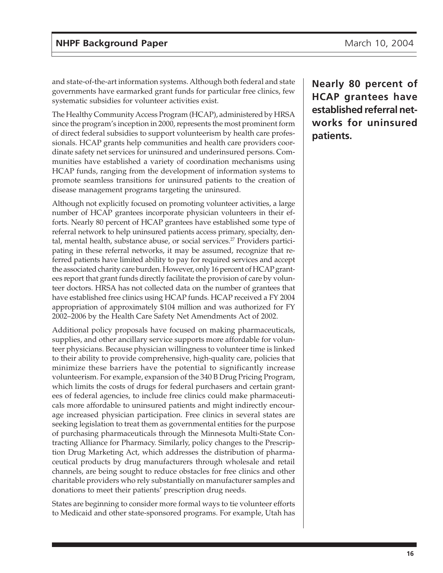and state-of-the-art information systems. Although both federal and state governments have earmarked grant funds for particular free clinics, few systematic subsidies for volunteer activities exist.

The Healthy Community Access Program (HCAP), administered by HRSA since the program's inception in 2000, represents the most prominent form of direct federal subsidies to support volunteerism by health care professionals. HCAP grants help communities and health care providers coordinate safety net services for uninsured and underinsured persons. Communities have established a variety of coordination mechanisms using HCAP funds, ranging from the development of information systems to promote seamless transitions for uninsured patients to the creation of disease management programs targeting the uninsured.

Although not explicitly focused on promoting volunteer activities, a large number of HCAP grantees incorporate physician volunteers in their efforts. Nearly 80 percent of HCAP grantees have established some type of referral network to help uninsured patients access primary, specialty, dental, mental health, substance abuse, or social services.<sup>27</sup> Providers participating in these referral networks, it may be assumed, recognize that referred patients have limited ability to pay for required services and accept the associated charity care burden. However, only 16 percent of HCAP grantees report that grant funds directly facilitate the provision of care by volunteer doctors. HRSA has not collected data on the number of grantees that have established free clinics using HCAP funds. HCAP received a FY 2004 appropriation of approximately \$104 million and was authorized for FY 2002–2006 by the Health Care Safety Net Amendments Act of 2002.

Additional policy proposals have focused on making pharmaceuticals, supplies, and other ancillary service supports more affordable for volunteer physicians. Because physician willingness to volunteer time is linked to their ability to provide comprehensive, high-quality care, policies that minimize these barriers have the potential to significantly increase volunteerism. For example, expansion of the 340 B Drug Pricing Program, which limits the costs of drugs for federal purchasers and certain grantees of federal agencies, to include free clinics could make pharmaceuticals more affordable to uninsured patients and might indirectly encourage increased physician participation. Free clinics in several states are seeking legislation to treat them as governmental entities for the purpose of purchasing pharmaceuticals through the Minnesota Multi-State Contracting Alliance for Pharmacy. Similarly, policy changes to the Prescription Drug Marketing Act, which addresses the distribution of pharmaceutical products by drug manufacturers through wholesale and retail channels, are being sought to reduce obstacles for free clinics and other charitable providers who rely substantially on manufacturer samples and donations to meet their patients' prescription drug needs.

States are beginning to consider more formal ways to tie volunteer efforts to Medicaid and other state-sponsored programs. For example, Utah has **Nearly 80 percent of HCAP grantees have established referral networks for uninsured patients.**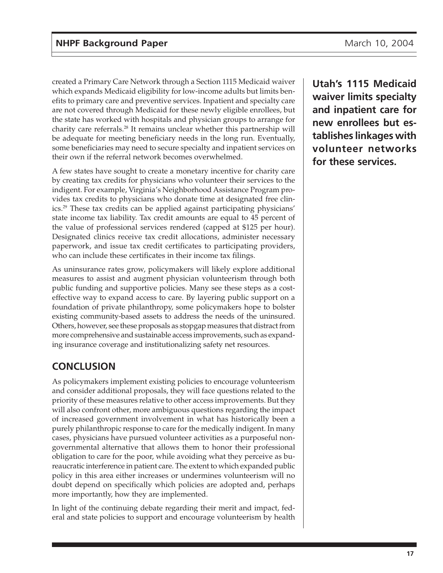<span id="page-16-0"></span>created a Primary Care Network through a Section 1115 Medicaid waiver which expands Medicaid eligibility for low-income adults but limits benefits to primary care and preventive services. Inpatient and specialty care are not covered through Medicaid for these newly eligible enrollees, but the state has worked with hospitals and physician groups to arrange for charity care referrals.28 It remains unclear whether this partnership will be adequate for meeting beneficiary needs in the long run. Eventually, some beneficiaries may need to secure specialty and inpatient services on their own if the referral network becomes overwhelmed.

A few states have sought to create a monetary incentive for charity care by creating tax credits for physicians who volunteer their services to the indigent. For example, Virginia's Neighborhood Assistance Program provides tax credits to physicians who donate time at designated free clinics.29 These tax credits can be applied against participating physicians' state income tax liability. Tax credit amounts are equal to 45 percent of the value of professional services rendered (capped at \$125 per hour). Designated clinics receive tax credit allocations, administer necessary paperwork, and issue tax credit certificates to participating providers, who can include these certificates in their income tax filings.

As uninsurance rates grow, policymakers will likely explore additional measures to assist and augment physician volunteerism through both public funding and supportive policies. Many see these steps as a costeffective way to expand access to care. By layering public support on a foundation of private philanthropy, some policymakers hope to bolster existing community-based assets to address the needs of the uninsured. Others, however, see these proposals as stopgap measures that distract from more comprehensive and sustainable access improvements, such as expanding insurance coverage and institutionalizing safety net resources.

## **CONCLUSION**

As policymakers implement existing policies to encourage volunteerism and consider additional proposals, they will face questions related to the priority of these measures relative to other access improvements. But they will also confront other, more ambiguous questions regarding the impact of increased government involvement in what has historically been a purely philanthropic response to care for the medically indigent. In many cases, physicians have pursued volunteer activities as a purposeful nongovernmental alternative that allows them to honor their professional obligation to care for the poor, while avoiding what they perceive as bureaucratic interference in patient care. The extent to which expanded public policy in this area either increases or undermines volunteerism will no doubt depend on specifically which policies are adopted and, perhaps more importantly, how they are implemented.

In light of the continuing debate regarding their merit and impact, federal and state policies to support and encourage volunteerism by health

**Utah's 1115 Medicaid waiver limits specialty and inpatient care for new enrollees but establishes linkages with volunteer networks for these services.**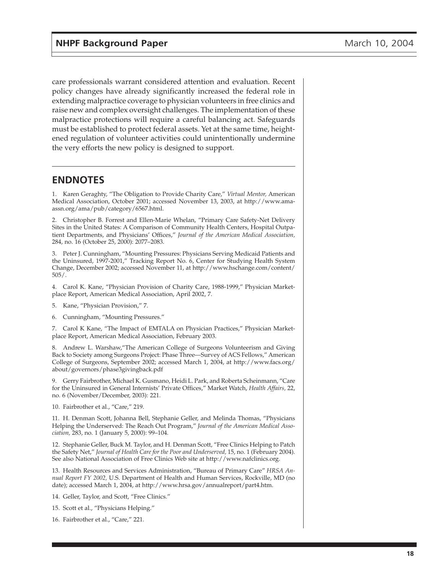care professionals warrant considered attention and evaluation. Recent policy changes have already significantly increased the federal role in extending malpractice coverage to physician volunteers in free clinics and raise new and complex oversight challenges. The implementation of these malpractice protections will require a careful balancing act. Safeguards must be established to protect federal assets. Yet at the same time, heightened regulation of volunteer activities could unintentionally undermine the very efforts the new policy is designed to support.

## **ENDNOTES**

1. Karen Geraghty, "The Obligation to Provide Charity Care," *Virtual Mentor,* American Medical Association, October 2001; accessed November 13, 2003, at http://www.amaassn.org/ama/pub/category/6567.html.

2. Christopher B. Forrest and Ellen-Marie Whelan, "Primary Care Safety-Net Delivery Sites in the United States: A Comparison of Community Health Centers, Hospital Outpatient Departments, and Physicians' Offices," *Journal of the American Medical Association,* 284, no. 16 (October 25, 2000): 2077–2083.

3. Peter J. Cunningham, "Mounting Pressures: Physicians Serving Medicaid Patients and the Uninsured, 1997-2001," Tracking Report No. 6, Center for Studying Health System Change, December 2002; accessed November 11, at http://www.hschange.com/content/ 505/.

4. Carol K. Kane, "Physician Provision of Charity Care, 1988-1999," Physician Marketplace Report, American Medical Association, April 2002, 7.

5. Kane, "Physician Provision," 7.

6. Cunningham, "Mounting Pressures."

7. Carol K Kane, "The Impact of EMTALA on Physician Practices," Physician Marketplace Report, American Medical Association, February 2003.

8. Andrew L. Warshaw,"The American College of Surgeons Volunteerism and Giving Back to Society among Surgeons Project: Phase Three—Survey of ACS Fellows," American College of Surgeons, September 2002; accessed March 1, 2004, at http://www.facs.org/ about/governors/phase3givingback.pdf

9. Gerry Fairbrother, Michael K. Gusmano, Heidi L. Park, and Roberta Scheinmann, "Care for the Uninsured in General Internists' Private Offices," Market Watch, *Health Affairs,* 22, no. 6 (November/December, 2003): 221.

10. Fairbrother et al., "Care," 219.

11. H. Denman Scott, Johanna Bell, Stephanie Geller, and Melinda Thomas, "Physicians Helping the Underserved: The Reach Out Program," *Journal of the American Medical Association,* 283, no. 1 (January 5, 2000): 99–104.

12. Stephanie Geller, Buck M. Taylor, and H. Denman Scott, "Free Clinics Helping to Patch the Safety Net," *Journal of Health Care for the Poor and Underserved,* 15, no. 1 (February 2004). See also National Association of Free Clinics Web site at http://www.nafclinics.org.

13. Health Resources and Services Administration, "Bureau of Primary Care" *HRSA Annual Report FY 2002,* U.S. Department of Health and Human Services, Rockville, MD (no date); accessed March 1, 2004, at http://www.hrsa.gov/annualreport/part4.htm.

14. Geller, Taylor, and Scott, "Free Clinics."

15. Scott et al., "Physicians Helping."

16. Fairbrother et al., "Care," 221.